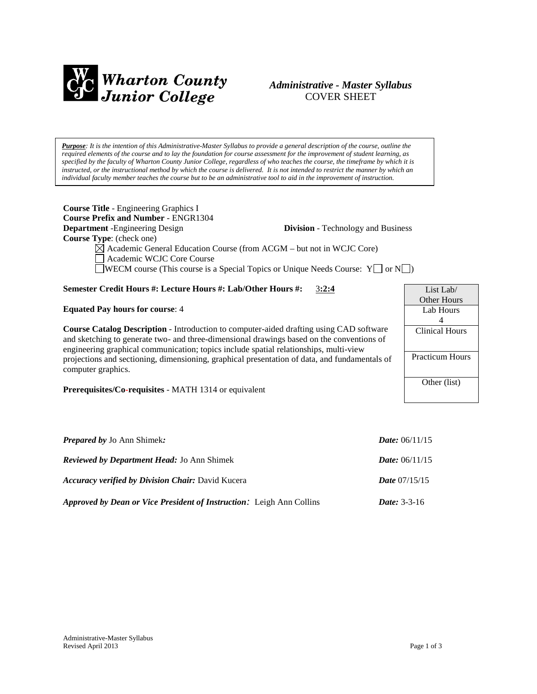

# *Administrative - Master Syllabus*  COVER SHEET

*Purpose: It is the intention of this Administrative-Master Syllabus to provide a general description of the course, outline the required elements of the course and to lay the foundation for course assessment for the improvement of student learning, as specified by the faculty of Wharton County Junior College, regardless of who teaches the course, the timeframe by which it is instructed, or the instructional method by which the course is delivered. It is not intended to restrict the manner by which an individual faculty member teaches the course but to be an administrative tool to aid in the improvement of instruction.*

| <b>Course Title - Engineering Graphics I</b><br><b>Course Prefix and Number - ENGR1304</b><br><b>Department</b> -Engineering Design<br>Course Type: (check one)<br>$\boxtimes$ Academic General Education Course (from ACGM – but not in WCJC Core)<br>Academic WCJC Core Course<br><b>JWECM</b> course (This course is a Special Topics or Unique Needs Course: $Y \cap N$ ) | <b>Division</b> - Technology and Business |
|-------------------------------------------------------------------------------------------------------------------------------------------------------------------------------------------------------------------------------------------------------------------------------------------------------------------------------------------------------------------------------|-------------------------------------------|
| Semester Credit Hours #: Lecture Hours #: Lab/Other Hours #:<br>3:2:4                                                                                                                                                                                                                                                                                                         | List Lab/                                 |
| <b>Equated Pay hours for course: 4</b>                                                                                                                                                                                                                                                                                                                                        | Other Hours<br>Lab Hours<br>4             |
| <b>Course Catalog Description</b> - Introduction to computer-aided drafting using CAD software<br>and sketching to generate two- and three-dimensional drawings based on the conventions of<br>engineering graphical communication; topics include spatial relationships, multi-view                                                                                          | <b>Clinical Hours</b>                     |
| projections and sectioning, dimensioning, graphical presentation of data, and fundamentals of<br>computer graphics.                                                                                                                                                                                                                                                           | <b>Practicum Hours</b>                    |
| Prerequisites/Co-requisites - MATH 1314 or equivalent                                                                                                                                                                                                                                                                                                                         | Other (list)                              |
| <b>Prepared by Jo Ann Shimek:</b>                                                                                                                                                                                                                                                                                                                                             | <i>Date:</i> $06/11/15$                   |

| <b>Reviewed by Department Head: Jo Ann Shimek</b>                           | <i>Date:</i> $06/11/15$ |
|-----------------------------------------------------------------------------|-------------------------|
| <b>Accuracy verified by Division Chair: David Kucera</b>                    | <i>Date</i> $07/15/15$  |
| <i>Approved by Dean or Vice President of Instruction:</i> Leigh Ann Collins | <i>Date:</i> $3-3-16$   |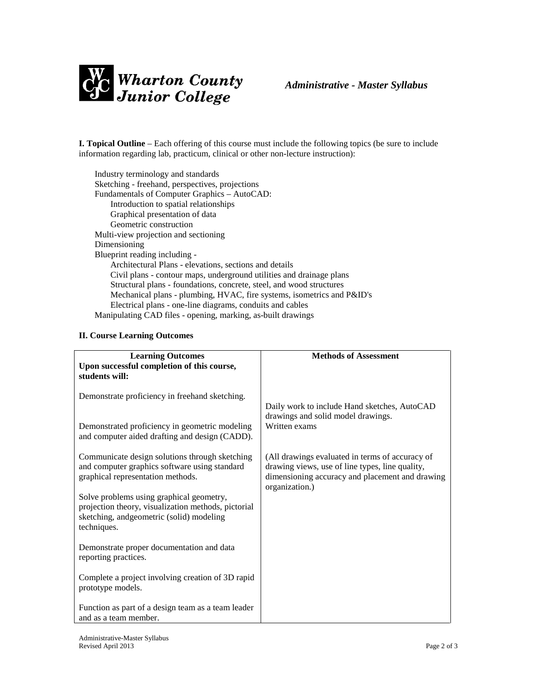

**I. Topical Outline** – Each offering of this course must include the following topics (be sure to include information regarding lab, practicum, clinical or other non-lecture instruction):

Industry terminology and standards Sketching - freehand, perspectives, projections Fundamentals of Computer Graphics – AutoCAD: Introduction to spatial relationships Graphical presentation of data Geometric construction Multi-view projection and sectioning Dimensioning Blueprint reading including - Architectural Plans - elevations, sections and details Civil plans - contour maps, underground utilities and drainage plans Structural plans - foundations, concrete, steel, and wood structures Mechanical plans - plumbing, HVAC, fire systems, isometrics and P&ID's Electrical plans - one-line diagrams, conduits and cables Manipulating CAD files - opening, marking, as-built drawings

#### **II. Course Learning Outcomes**

| <b>Learning Outcomes</b><br>Upon successful completion of this course,<br>students will:                                                                    | <b>Methods of Assessment</b>                                                                                                                                            |
|-------------------------------------------------------------------------------------------------------------------------------------------------------------|-------------------------------------------------------------------------------------------------------------------------------------------------------------------------|
| Demonstrate proficiency in freehand sketching.                                                                                                              | Daily work to include Hand sketches, AutoCAD                                                                                                                            |
| Demonstrated proficiency in geometric modeling<br>and computer aided drafting and design (CADD).                                                            | drawings and solid model drawings.<br>Written exams                                                                                                                     |
| Communicate design solutions through sketching<br>and computer graphics software using standard<br>graphical representation methods.                        | (All drawings evaluated in terms of accuracy of<br>drawing views, use of line types, line quality,<br>dimensioning accuracy and placement and drawing<br>organization.) |
| Solve problems using graphical geometry,<br>projection theory, visualization methods, pictorial<br>sketching, and geometric (solid) modeling<br>techniques. |                                                                                                                                                                         |
| Demonstrate proper documentation and data<br>reporting practices.                                                                                           |                                                                                                                                                                         |
| Complete a project involving creation of 3D rapid<br>prototype models.                                                                                      |                                                                                                                                                                         |
| Function as part of a design team as a team leader<br>and as a team member.                                                                                 |                                                                                                                                                                         |